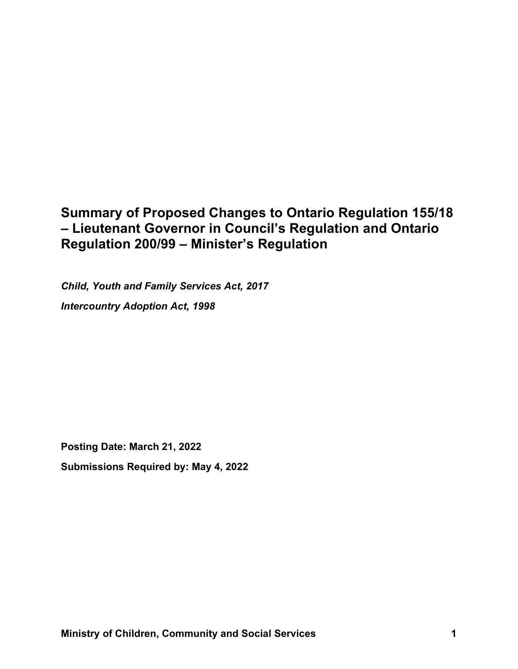# **Summary of Proposed Changes to Ontario Regulation 155/18 – Lieutenant Governor in Council's Regulation and Ontario Regulation 200/99 – Minister's Regulation**

*Child, Youth and Family Services Act, 2017 Intercountry Adoption Act, 1998*

**Posting Date: March 21, 2022 Submissions Required by: May 4, 2022**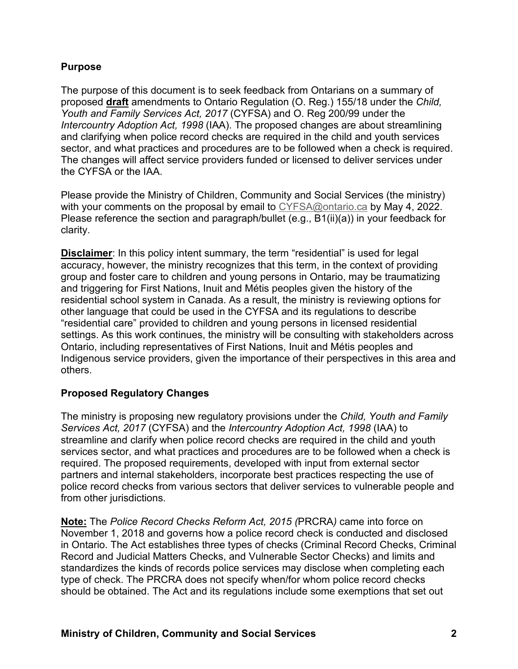## **Purpose**

The purpose of this document is to seek feedback from Ontarians on a summary of proposed **draft** amendments to Ontario Regulation (O. Reg.) 155/18 under the *Child, Youth and Family Services Act, 2017* (CYFSA) and O. Reg 200/99 under the *Intercountry Adoption Act, 1998* (IAA). The proposed changes are about streamlining and clarifying when police record checks are required in the child and youth services sector, and what practices and procedures are to be followed when a check is required. The changes will affect service providers funded or licensed to deliver services under the CYFSA or the IAA.

Please provide the Ministry of Children, Community and Social Services (the ministry) with your comments on the proposal by email to [CYFSA@ontario.ca](mailto:CYFSA@ontario.ca) by May 4, 2022. Please reference the section and paragraph/bullet (e.g., B1(ii)(a)) in your feedback for clarity.

**Disclaimer**: In this policy intent summary, the term "residential" is used for legal accuracy, however, the ministry recognizes that this term, in the context of providing group and foster care to children and young persons in Ontario, may be traumatizing and triggering for First Nations, Inuit and Métis peoples given the history of the residential school system in Canada. As a result, the ministry is reviewing options for other language that could be used in the CYFSA and its regulations to describe "residential care" provided to children and young persons in licensed residential settings. As this work continues, the ministry will be consulting with stakeholders across Ontario, including representatives of First Nations, Inuit and Métis peoples and Indigenous service providers, given the importance of their perspectives in this area and others.

### **Proposed Regulatory Changes**

The ministry is proposing new regulatory provisions under the *Child, Youth and Family Services Act, 2017* (CYFSA) and the *Intercountry Adoption Act, 1998* (IAA) to streamline and clarify when police record checks are required in the child and youth services sector, and what practices and procedures are to be followed when a check is required. The proposed requirements, developed with input from external sector partners and internal stakeholders, incorporate best practices respecting the use of police record checks from various sectors that deliver services to vulnerable people and from other jurisdictions.

**Note:** The *Police Record Checks Reform Act, 2015 (*PRCRA*)* came into force on November 1, 2018 and governs how a police record check is conducted and disclosed in Ontario. The Act establishes three types of checks (Criminal Record Checks, Criminal Record and Judicial Matters Checks, and Vulnerable Sector Checks) and limits and standardizes the kinds of records police services may disclose when completing each type of check. The PRCRA does not specify when/for whom police record checks should be obtained. The Act and its regulations include some exemptions that set out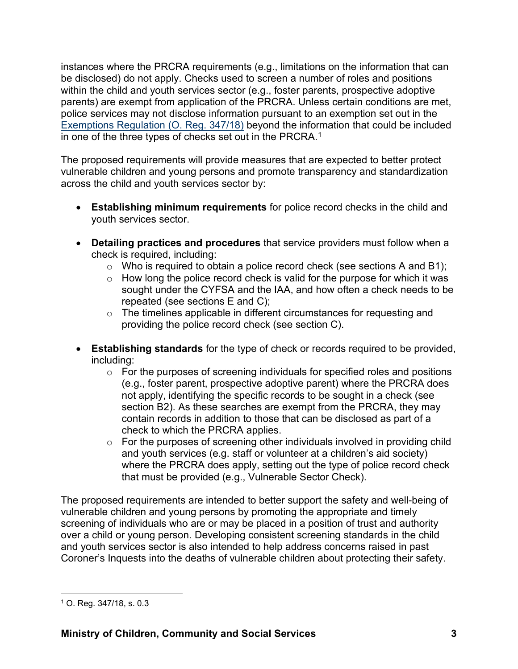instances where the PRCRA requirements (e.g., limitations on the information that can be disclosed) do not apply. Checks used to screen a number of roles and positions within the child and youth services sector (e.g., foster parents, prospective adoptive parents) are exempt from application of the PRCRA. Unless certain conditions are met, police services may not disclose information pursuant to an exemption set out in the [Exemptions Regulation \(O. Reg. 347/18\)](https://can01.safelinks.protection.outlook.com/?url=https%3A%2F%2Fwww.ontario.ca%2Flaws%2Fregulation%2F180347&data=04%7C01%7CMarta.Kwiatek%40ontario.ca%7C98b42a099126438a9dfb08d9328b6325%7Ccddc1229ac2a4b97b78a0e5cacb5865c%7C0%7C0%7C637596396517211736%7CUnknown%7CTWFpbGZsb3d8eyJWIjoiMC4wLjAwMDAiLCJQIjoiV2luMzIiLCJBTiI6Ik1haWwiLCJXVCI6Mn0%3D%7C1000&sdata=VRaLWbAhqpzE8k%2FqIAmBBAqViWw0BhPru3YMlNN17Q8%3D&reserved=0) beyond the information that could be included in one of the three types of checks set out in the PRCRA.<sup>1</sup>

The proposed requirements will provide measures that are expected to better protect vulnerable children and young persons and promote transparency and standardization across the child and youth services sector by:

- **Establishing minimum requirements** for police record checks in the child and youth services sector.
- **Detailing practices and procedures** that service providers must follow when a check is required, including:
	- $\circ$  Who is required to obtain a police record check (see sections A and B1);
	- $\circ$  How long the police record check is valid for the purpose for which it was sought under the CYFSA and the IAA, and how often a check needs to be repeated (see sections E and C);
	- o The timelines applicable in different circumstances for requesting and providing the police record check (see section C).
- **Establishing standards** for the type of check or records required to be provided, including:
	- $\circ$  For the purposes of screening individuals for specified roles and positions (e.g., foster parent, prospective adoptive parent) where the PRCRA does not apply, identifying the specific records to be sought in a check (see section B2). As these searches are exempt from the PRCRA, they may contain records in addition to those that can be disclosed as part of a check to which the PRCRA applies.
	- $\circ$  For the purposes of screening other individuals involved in providing child and youth services (e.g. staff or volunteer at a children's aid society) where the PRCRA does apply, setting out the type of police record check that must be provided (e.g., Vulnerable Sector Check).

The proposed requirements are intended to better support the safety and well-being of vulnerable children and young persons by promoting the appropriate and timely screening of individuals who are or may be placed in a position of trust and authority over a child or young person. Developing consistent screening standards in the child and youth services sector is also intended to help address concerns raised in past Coroner's Inquests into the deaths of vulnerable children about protecting their safety.

<sup>1</sup> O. Reg. 347/18, s. 0.3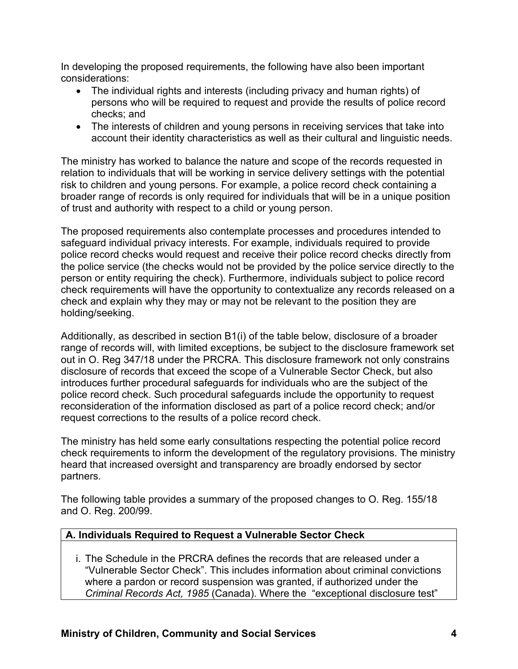In developing the proposed requirements, the following have also been important considerations:

- The individual rights and interests (including privacy and human rights) of persons who will be required to request and provide the results of police record checks; and
- The interests of children and young persons in receiving services that take into account their identity characteristics as well as their cultural and linguistic needs.

The ministry has worked to balance the nature and scope of the records requested in relation to individuals that will be working in service delivery settings with the potential risk to children and young persons. For example, a police record check containing a broader range of records is only required for individuals that will be in a unique position of trust and authority with respect to a child or young person.

The proposed requirements also contemplate processes and procedures intended to safeguard individual privacy interests. For example, individuals required to provide police record checks would request and receive their police record checks directly from the police service (the checks would not be provided by the police service directly to the person or entity requiring the check). Furthermore, individuals subject to police record check requirements will have the opportunity to contextualize any records released on a check and explain why they may or may not be relevant to the position they are holding/seeking.

Additionally, as described in section B1(i) of the table below, disclosure of a broader range of records will, with limited exceptions, be subject to the disclosure framework set out in O. Reg 347/18 under the PRCRA. This disclosure framework not only constrains disclosure of records that exceed the scope of a Vulnerable Sector Check, but also introduces further procedural safeguards for individuals who are the subject of the police record check. Such procedural safeguards include the opportunity to request reconsideration of the information disclosed as part of a police record check; and/or request corrections to the results of a police record check.

The ministry has held some early consultations respecting the potential police record check requirements to inform the development of the regulatory provisions. The ministry heard that increased oversight and transparency are broadly endorsed by sector partners.

The following table provides a summary of the proposed changes to O. Reg. 155/18 and O. Reg. 200/99.

### **A. Individuals Required to Request a Vulnerable Sector Check**

i. The Schedule in the PRCRA defines the records that are released under a "Vulnerable Sector Check". This includes information about criminal convictions where a pardon or record suspension was granted, if authorized under the *Criminal Records Act, 1985* (Canada). Where the "exceptional disclosure test"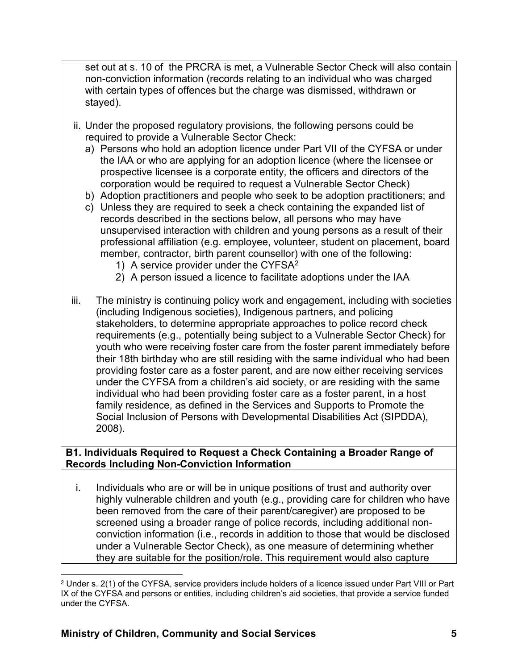set out at s. 10 of the PRCRA is met, a Vulnerable Sector Check will also contain non-conviction information (records relating to an individual who was charged with certain types of offences but the charge was dismissed, withdrawn or stayed).

- ii. Under the proposed regulatory provisions, the following persons could be required to provide a Vulnerable Sector Check:
	- a) Persons who hold an adoption licence under Part VII of the CYFSA or under the IAA or who are applying for an adoption licence (where the licensee or prospective licensee is a corporate entity, the officers and directors of the corporation would be required to request a Vulnerable Sector Check)
	- b) Adoption practitioners and people who seek to be adoption practitioners; and
	- c) Unless they are required to seek a check containing the expanded list of records described in the sections below, all persons who may have unsupervised interaction with children and young persons as a result of their professional affiliation (e.g. employee, volunteer, student on placement, board member, contractor, birth parent counsellor) with one of the following:
		- 1) A service provider under the CYFS $A^2$
		- 2) A person issued a licence to facilitate adoptions under the IAA
- iii. The ministry is continuing policy work and engagement, including with societies (including Indigenous societies), Indigenous partners, and policing stakeholders, to determine appropriate approaches to police record check requirements (e.g., potentially being subject to a Vulnerable Sector Check) for youth who were receiving foster care from the foster parent immediately before their 18th birthday who are still residing with the same individual who had been providing foster care as a foster parent, and are now either receiving services under the CYFSA from a children's aid society, or are residing with the same individual who had been providing foster care as a foster parent, in a host family residence, as defined in the Services and Supports to Promote the Social Inclusion of Persons with Developmental Disabilities Act (SIPDDA), 2008).

### **B1. Individuals Required to Request a Check Containing a Broader Range of Records Including Non-Conviction Information**

i. Individuals who are or will be in unique positions of trust and authority over highly vulnerable children and youth (e.g., providing care for children who have been removed from the care of their parent/caregiver) are proposed to be screened using a broader range of police records, including additional nonconviction information (i.e., records in addition to those that would be disclosed under a Vulnerable Sector Check), as one measure of determining whether they are suitable for the position/role. This requirement would also capture

<sup>2</sup> Under s. 2(1) of the CYFSA, service providers include holders of a licence issued under Part VIII or Part IX of the CYFSA and persons or entities, including children's aid societies, that provide a service funded under the CYFSA.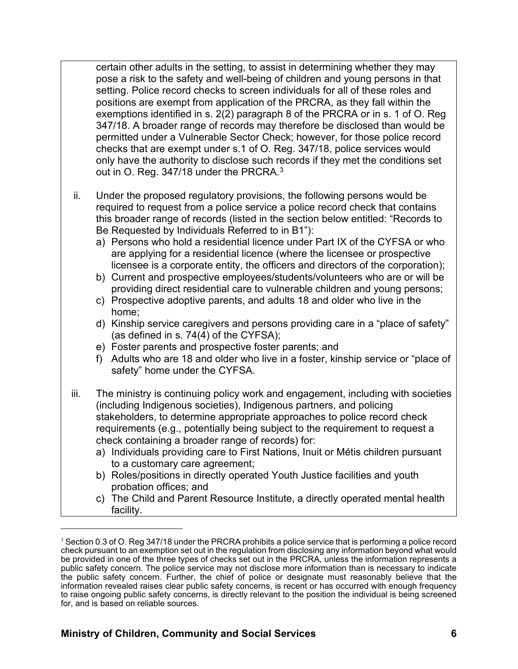certain other adults in the setting, to assist in determining whether they may pose a risk to the safety and well-being of children and young persons in that setting. Police record checks to screen individuals for all of these roles and positions are exempt from application of the PRCRA, as they fall within the exemptions identified in s. 2(2) paragraph 8 of the PRCRA or in s. 1 of O. Reg 347/18. A broader range of records may therefore be disclosed than would be permitted under a Vulnerable Sector Check; however, for those police record checks that are exempt under s.1 of O. Reg. 347/18, police services would only have the authority to disclose such records if they met the conditions set out in O. Reg. 347/18 under the PRCRA.<sup>3</sup>

- ii. Under the proposed regulatory provisions, the following persons would be required to request from a police service a police record check that contains this broader range of records (listed in the section below entitled: "Records to Be Requested by Individuals Referred to in B1"):
	- a) Persons who hold a residential licence under Part IX of the CYFSA or who are applying for a residential licence (where the licensee or prospective licensee is a corporate entity, the officers and directors of the corporation);
	- b) Current and prospective employees/students/volunteers who are or will be providing direct residential care to vulnerable children and young persons;
	- c) Prospective adoptive parents, and adults 18 and older who live in the home;
	- d) Kinship service caregivers and persons providing care in a "place of safety" (as defined in s. 74(4) of the CYFSA);
	- e) Foster parents and prospective foster parents; and
	- f) Adults who are 18 and older who live in a foster, kinship service or "place of safety" home under the CYFSA.
- iii. The ministry is continuing policy work and engagement, including with societies (including Indigenous societies), Indigenous partners, and policing stakeholders, to determine appropriate approaches to police record check requirements (e.g., potentially being subject to the requirement to request a check containing a broader range of records) for:
	- a) Individuals providing care to First Nations, Inuit or Métis children pursuant to a customary care agreement;
	- b) Roles/positions in directly operated Youth Justice facilities and youth probation offices; and
	- c) The Child and Parent Resource Institute, a directly operated mental health facility.

<sup>&</sup>lt;sup>3</sup> Section 0.3 of O. Reg 347/18 under the PRCRA prohibits a police service that is performing a police record check pursuant to an exemption set out in the regulation from disclosing any information beyond what would be provided in one of the three types of checks set out in the PRCRA, unless the information represents a public safety concern. The police service may not disclose more information than is necessary to indicate the public safety concern. Further, the chief of police or designate must reasonably believe that the information revealed raises clear public safety concerns, is recent or has occurred with enough frequency to raise ongoing public safety concerns, is directly relevant to the position the individual is being screened for, and is based on reliable sources.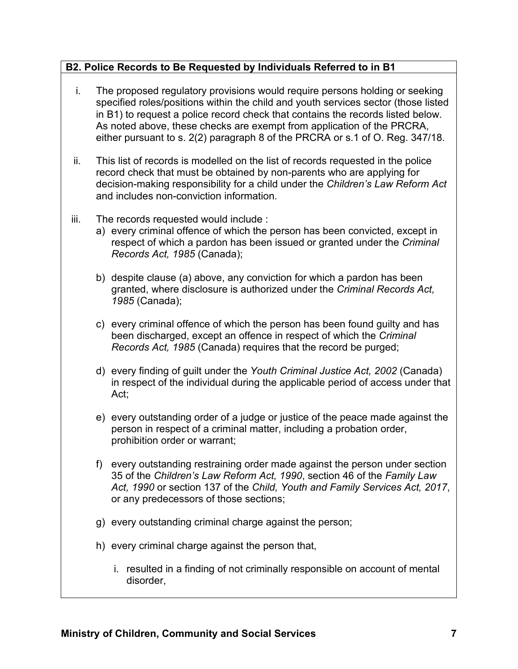# **B2. Police Records to Be Requested by Individuals Referred to in B1**

- i. The proposed regulatory provisions would require persons holding or seeking specified roles/positions within the child and youth services sector (those listed in B1) to request a police record check that contains the records listed below. As noted above, these checks are exempt from application of the PRCRA, either pursuant to s. 2(2) paragraph 8 of the PRCRA or s.1 of O. Reg. 347/18.
- ii. This list of records is modelled on the list of records requested in the police record check that must be obtained by non-parents who are applying for decision-making responsibility for a child under the *Children's Law Reform Act* and includes non-conviction information*.*
- iii. The records requested would include :
	- a) every criminal offence of which the person has been convicted, except in respect of which a pardon has been issued or granted under the *Criminal Records Act, 1985* (Canada);
	- b) despite clause (a) above, any conviction for which a pardon has been granted, where disclosure is authorized under the *Criminal Records Act, 1985* (Canada);
	- c) every criminal offence of which the person has been found guilty and has been discharged, except an offence in respect of which the *Criminal Records Act, 1985* (Canada) requires that the record be purged;
	- d) every finding of guilt under the *Youth Criminal Justice Act, 2002* (Canada) in respect of the individual during the applicable period of access under that Act;
	- e) every outstanding order of a judge or justice of the peace made against the person in respect of a criminal matter, including a probation order, prohibition order or warrant;
	- f) every outstanding restraining order made against the person under section 35 of the *Children's Law Reform Act, 1990*, section 46 of the *Family Law Act, 1990* or section 137 of the *Child, Youth and Family Services Act, 2017*, or any predecessors of those sections;
	- g) every outstanding criminal charge against the person;
	- h) every criminal charge against the person that,
		- i. resulted in a finding of not criminally responsible on account of mental disorder,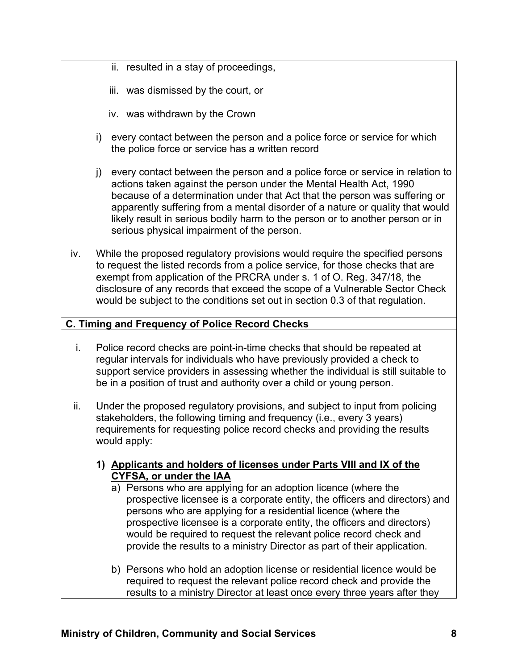- ii. resulted in a stay of proceedings,
- iii. was dismissed by the court, or
- iv. was withdrawn by the Crown
- i) every contact between the person and a police force or service for which the police force or service has a written record
- j) every contact between the person and a police force or service in relation to actions taken against the person under the Mental Health Act, 1990 because of a determination under that Act that the person was suffering or apparently suffering from a mental disorder of a nature or quality that would likely result in serious bodily harm to the person or to another person or in serious physical impairment of the person.
- iv. While the proposed regulatory provisions would require the specified persons to request the listed records from a police service, for those checks that are exempt from application of the PRCRA under s. 1 of O. Reg. 347/18, the disclosure of any records that exceed the scope of a Vulnerable Sector Check would be subject to the conditions set out in section 0.3 of that regulation.

### **C. Timing and Frequency of Police Record Checks**

- i. Police record checks are point-in-time checks that should be repeated at regular intervals for individuals who have previously provided a check to support service providers in assessing whether the individual is still suitable to be in a position of trust and authority over a child or young person.
- ii. Under the proposed regulatory provisions, and subject to input from policing stakeholders, the following timing and frequency (i.e., every 3 years) requirements for requesting police record checks and providing the results would apply:
	- **1) Applicants and holders of licenses under Parts VIII and IX of the CYFSA, or under the IAA**
		- a) Persons who are applying for an adoption licence (where the prospective licensee is a corporate entity, the officers and directors) and persons who are applying for a residential licence (where the prospective licensee is a corporate entity, the officers and directors) would be required to request the relevant police record check and provide the results to a ministry Director as part of their application.
		- b) Persons who hold an adoption license or residential licence would be required to request the relevant police record check and provide the results to a ministry Director at least once every three years after they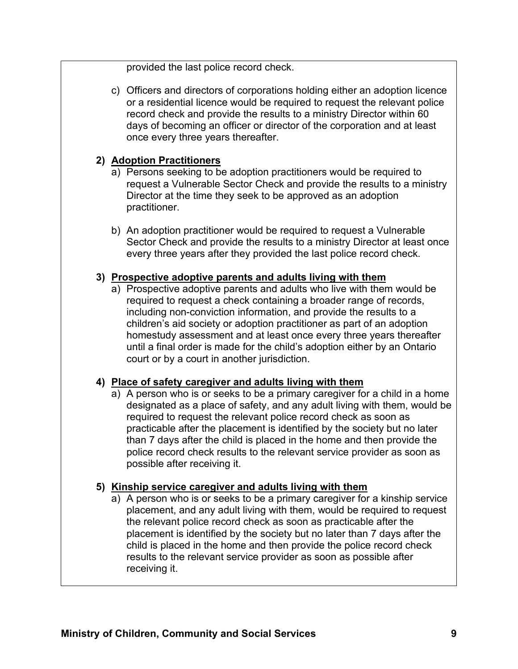provided the last police record check.

c) Officers and directors of corporations holding either an adoption licence or a residential licence would be required to request the relevant police record check and provide the results to a ministry Director within 60 days of becoming an officer or director of the corporation and at least once every three years thereafter.

## **2) Adoption Practitioners**

- a) Persons seeking to be adoption practitioners would be required to request a Vulnerable Sector Check and provide the results to a ministry Director at the time they seek to be approved as an adoption practitioner.
- b) An adoption practitioner would be required to request a Vulnerable Sector Check and provide the results to a ministry Director at least once every three years after they provided the last police record check.

## **3) Prospective adoptive parents and adults living with them**

a) Prospective adoptive parents and adults who live with them would be required to request a check containing a broader range of records, including non-conviction information, and provide the results to a children's aid society or adoption practitioner as part of an adoption homestudy assessment and at least once every three years thereafter until a final order is made for the child's adoption either by an Ontario court or by a court in another jurisdiction.

# **4) Place of safety caregiver and adults living with them**

a) A person who is or seeks to be a primary caregiver for a child in a home designated as a place of safety, and any adult living with them, would be required to request the relevant police record check as soon as practicable after the placement is identified by the society but no later than 7 days after the child is placed in the home and then provide the police record check results to the relevant service provider as soon as possible after receiving it.

# **5) Kinship service caregiver and adults living with them**

a) A person who is or seeks to be a primary caregiver for a kinship service placement, and any adult living with them, would be required to request the relevant police record check as soon as practicable after the placement is identified by the society but no later than 7 days after the child is placed in the home and then provide the police record check results to the relevant service provider as soon as possible after receiving it.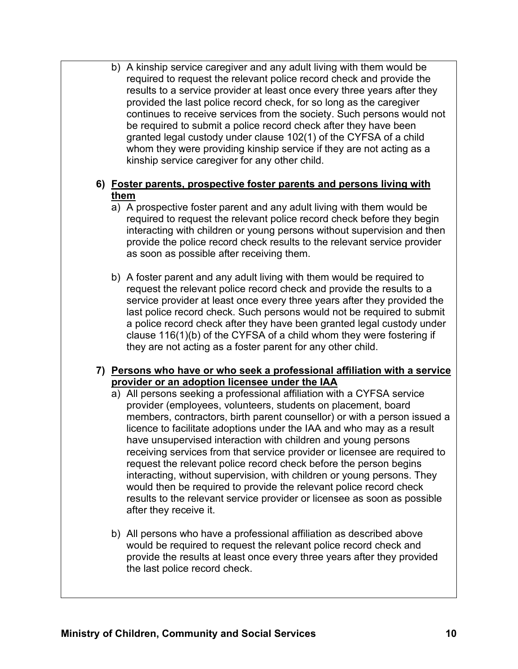b) A kinship service caregiver and any adult living with them would be required to request the relevant police record check and provide the results to a service provider at least once every three years after they provided the last police record check, for so long as the caregiver continues to receive services from the society. Such persons would not be required to submit a police record check after they have been granted legal custody under clause 102(1) of the CYFSA of a child whom they were providing kinship service if they are not acting as a kinship service caregiver for any other child.

## **6) Foster parents, prospective foster parents and persons living with them**

- a) A prospective foster parent and any adult living with them would be required to request the relevant police record check before they begin interacting with children or young persons without supervision and then provide the police record check results to the relevant service provider as soon as possible after receiving them.
- b) A foster parent and any adult living with them would be required to request the relevant police record check and provide the results to a service provider at least once every three years after they provided the last police record check. Such persons would not be required to submit a police record check after they have been granted legal custody under clause 116(1)(b) of the CYFSA of a child whom they were fostering if they are not acting as a foster parent for any other child.

# **7) Persons who have or who seek a professional affiliation with a service provider or an adoption licensee under the IAA**

- a) All persons seeking a professional affiliation with a CYFSA service provider (employees, volunteers, students on placement, board members, contractors, birth parent counsellor) or with a person issued a licence to facilitate adoptions under the IAA and who may as a result have unsupervised interaction with children and young persons receiving services from that service provider or licensee are required to request the relevant police record check before the person begins interacting, without supervision, with children or young persons. They would then be required to provide the relevant police record check results to the relevant service provider or licensee as soon as possible after they receive it.
- b) All persons who have a professional affiliation as described above would be required to request the relevant police record check and provide the results at least once every three years after they provided the last police record check.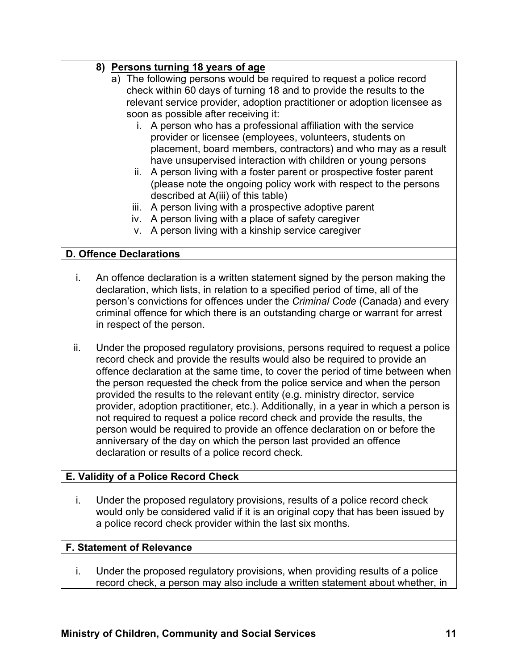# **8) Persons turning 18 years of age**

- a) The following persons would be required to request a police record check within 60 days of turning 18 and to provide the results to the relevant service provider, adoption practitioner or adoption licensee as soon as possible after receiving it:
	- i. A person who has a professional affiliation with the service provider or licensee (employees, volunteers, students on placement, board members, contractors) and who may as a result have unsupervised interaction with children or young persons
	- ii. A person living with a foster parent or prospective foster parent (please note the ongoing policy work with respect to the persons described at A(iii) of this table)
	- iii. A person living with a prospective adoptive parent
	- iv. A person living with a place of safety caregiver
	- v. A person living with a kinship service caregiver

# **D. Offence Declarations**

- i. An offence declaration is a written statement signed by the person making the declaration, which lists, in relation to a specified period of time, all of the person's convictions for offences under the *Criminal Code* (Canada) and every criminal offence for which there is an outstanding charge or warrant for arrest in respect of the person.
- ii. Under the proposed regulatory provisions, persons required to request a police record check and provide the results would also be required to provide an offence declaration at the same time, to cover the period of time between when the person requested the check from the police service and when the person provided the results to the relevant entity (e.g. ministry director, service provider, adoption practitioner, etc.). Additionally, in a year in which a person is not required to request a police record check and provide the results, the person would be required to provide an offence declaration on or before the anniversary of the day on which the person last provided an offence declaration or results of a police record check.

# **E. Validity of a Police Record Check**

i. Under the proposed regulatory provisions, results of a police record check would only be considered valid if it is an original copy that has been issued by a police record check provider within the last six months.

### **F. Statement of Relevance**

i. Under the proposed regulatory provisions, when providing results of a police record check, a person may also include a written statement about whether, in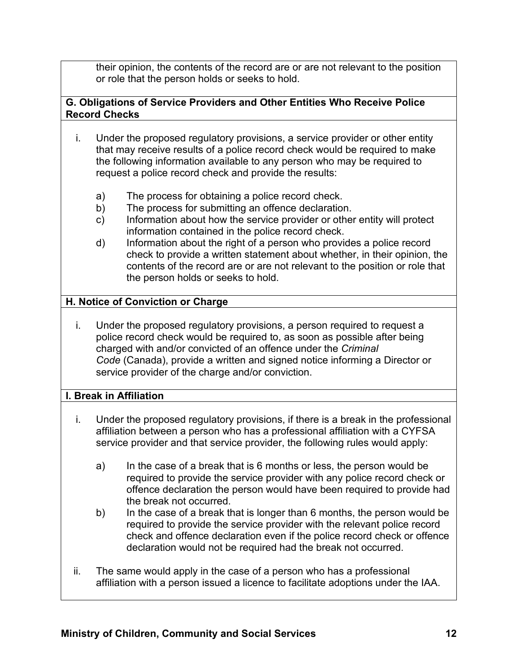their opinion, the contents of the record are or are not relevant to the position or role that the person holds or seeks to hold.

## **G. Obligations of Service Providers and Other Entities Who Receive Police Record Checks**

- i. Under the proposed regulatory provisions, a service provider or other entity that may receive results of a police record check would be required to make the following information available to any person who may be required to request a police record check and provide the results:
	- a) The process for obtaining a police record check.
	- b) The process for submitting an offence declaration.
	- c) Information about how the service provider or other entity will protect information contained in the police record check.
	- d) Information about the right of a person who provides a police record check to provide a written statement about whether, in their opinion, the contents of the record are or are not relevant to the position or role that the person holds or seeks to hold.

# **H. Notice of Conviction or Charge**

i. Under the proposed regulatory provisions, a person required to request a police record check would be required to, as soon as possible after being charged with and/or convicted of an offence under the *Criminal Code* (Canada), provide a written and signed notice informing a Director or service provider of the charge and/or conviction.

### **I. Break in Affiliation**

- i. Under the proposed regulatory provisions, if there is a break in the professional affiliation between a person who has a professional affiliation with a CYFSA service provider and that service provider, the following rules would apply:
	- a) In the case of a break that is 6 months or less, the person would be required to provide the service provider with any police record check or offence declaration the person would have been required to provide had the break not occurred.
	- b) In the case of a break that is longer than 6 months, the person would be required to provide the service provider with the relevant police record check and offence declaration even if the police record check or offence declaration would not be required had the break not occurred.
- ii. The same would apply in the case of a person who has a professional affiliation with a person issued a licence to facilitate adoptions under the IAA.